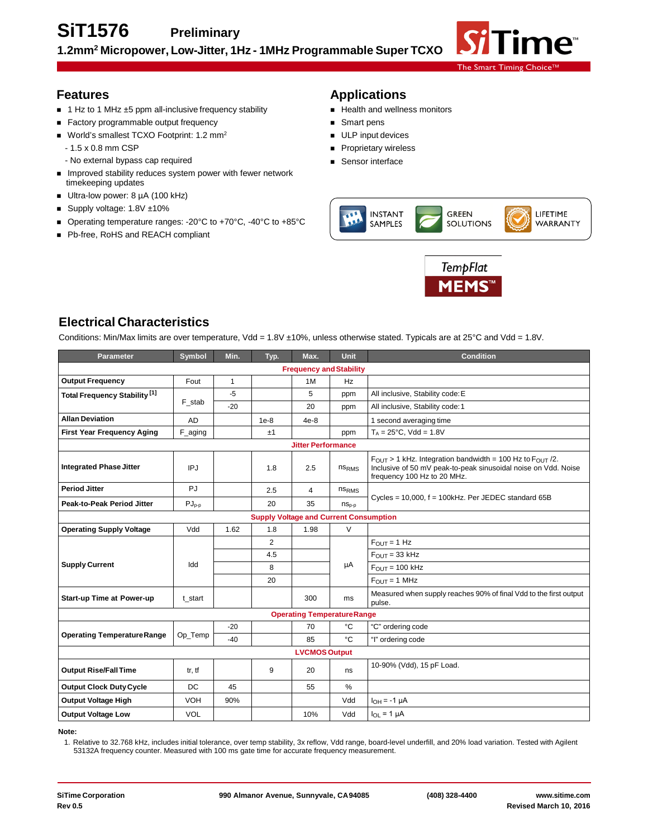

# **Features**

- 1 Hz to 1 MHz ±5 ppm all-inclusive frequency stability
- Factory programmable output frequency
- World's smallest TCXO Footprint: 1.2 mm<sup>2</sup>
	- 1.5 x 0.8 mm CSP
	- No external bypass cap required
- **IMPROVED STABILITY INCOCES SYSTEM POWER WITH FEWER NETWORK** timekeeping updates
- Ultra-low power: 8 µA (100 kHz)
- Supply voltage: 1.8V ±10%
- Operating temperature ranges: -20°C to +70°C, -40°C to +85°C
- Pb-free, RoHS and REACH compliant

# **Applications**

- Health and wellness monitors
- Smart pens
- **ULP** input devices
- **Proprietary wireless**
- **Sensor interface**





# **Electrical Characteristics**

Conditions: Min/Max limits are over temperature, Vdd = 1.8V ±10%, unless otherwise stated. Typicals are at 25°C and Vdd = 1.8V.

| <b>Parameter</b>                              | Symbol     | Min.         | Typ.           | Max.                               | <b>Unit</b>       | <b>Condition</b>                                                                                                                                                                  |  |  |
|-----------------------------------------------|------------|--------------|----------------|------------------------------------|-------------------|-----------------------------------------------------------------------------------------------------------------------------------------------------------------------------------|--|--|
| <b>Frequency and Stability</b>                |            |              |                |                                    |                   |                                                                                                                                                                                   |  |  |
| <b>Output Frequency</b>                       | Fout       | $\mathbf{1}$ |                | 1M                                 | Hz                |                                                                                                                                                                                   |  |  |
| Total Frequency Stability <sup>[1]</sup>      |            | $-5$         |                | 5                                  | ppm               | All inclusive, Stability code: E                                                                                                                                                  |  |  |
|                                               | F_stab     | $-20$        |                | 20                                 | ppm               | All inclusive, Stability code: 1                                                                                                                                                  |  |  |
| <b>Allan Deviation</b>                        | <b>AD</b>  |              | $1e-8$         | $4e-8$                             |                   | 1 second averaging time                                                                                                                                                           |  |  |
| <b>First Year Frequency Aging</b>             | F_aging    |              | ±1             |                                    | ppm               | $T_A = 25^{\circ}C$ , Vdd = 1.8V                                                                                                                                                  |  |  |
|                                               |            |              |                | <b>Jitter Performance</b>          |                   |                                                                                                                                                                                   |  |  |
| <b>Integrated Phase Jitter</b>                | IPJ        |              | 1.8            | 2.5                                | ns <sub>RMS</sub> | $F_{\text{OUT}} > 1$ kHz. Integration bandwidth = 100 Hz to $F_{\text{OUT}}/2$ .<br>Inclusive of 50 mV peak-to-peak sinusoidal noise on Vdd. Noise<br>frequency 100 Hz to 20 MHz. |  |  |
| <b>Period Jitter</b>                          | <b>PJ</b>  |              | 2.5            | 4                                  | ns <sub>RMS</sub> |                                                                                                                                                                                   |  |  |
| <b>Peak-to-Peak Period Jitter</b>             | $PJ_{p-p}$ |              | 20             | 35                                 | $nS_{p-p}$        | Cycles = 10,000, f = 100kHz. Per JEDEC standard 65B                                                                                                                               |  |  |
| <b>Supply Voltage and Current Consumption</b> |            |              |                |                                    |                   |                                                                                                                                                                                   |  |  |
| <b>Operating Supply Voltage</b>               | Vdd        | 1.62         | 1.8            | 1.98                               | $\vee$            |                                                                                                                                                                                   |  |  |
|                                               | Idd        |              | $\overline{2}$ |                                    | μA                | $F_{\text{OUT}} = 1$ Hz                                                                                                                                                           |  |  |
|                                               |            |              | 4.5            |                                    |                   | $F_{\text{OUT}} = 33 \text{ kHz}$                                                                                                                                                 |  |  |
| <b>Supply Current</b>                         |            |              | 8              |                                    |                   | $FOUT = 100 kHz$                                                                                                                                                                  |  |  |
|                                               |            |              | 20             |                                    |                   | $F_{\text{OUT}} = 1 \text{ MHz}$                                                                                                                                                  |  |  |
| <b>Start-up Time at Power-up</b>              | t start    |              |                | 300                                | ms                | Measured when supply reaches 90% of final Vdd to the first output<br>pulse.                                                                                                       |  |  |
|                                               |            |              |                | <b>Operating Temperature Range</b> |                   |                                                                                                                                                                                   |  |  |
|                                               | Op_Temp    | $-20$        |                | 70                                 | $^{\circ}C$       | "C" ordering code                                                                                                                                                                 |  |  |
| <b>Operating TemperatureRange</b>             |            | $-40$        |                | 85                                 | °C                | "I" ordering code                                                                                                                                                                 |  |  |
|                                               |            |              |                | <b>LVCMOS Output</b>               |                   |                                                                                                                                                                                   |  |  |
| <b>Output Rise/Fall Time</b>                  | tr, tf     |              | 9              | 20                                 | ns                | 10-90% (Vdd), 15 pF Load.                                                                                                                                                         |  |  |
| <b>Output Clock Duty Cycle</b>                | DC         | 45           |                | 55                                 | $\%$              |                                                                                                                                                                                   |  |  |
| <b>Output Voltage High</b>                    | <b>VOH</b> | 90%          |                |                                    | Vdd               | $I_{OH} = -1 \mu A$                                                                                                                                                               |  |  |
| <b>Output Voltage Low</b>                     | <b>VOL</b> |              |                | 10%                                | Vdd               | $I_{OL} = 1 \mu A$                                                                                                                                                                |  |  |

**Note:**

1. Relative to 32.768 kHz, includes initial tolerance, over temp stability, 3x reflow, Vdd range, board-level underfill, and 20% load variation. Tested with Agilent 53132A frequency counter. Measured with 100 ms gate time for accurate frequency measurement.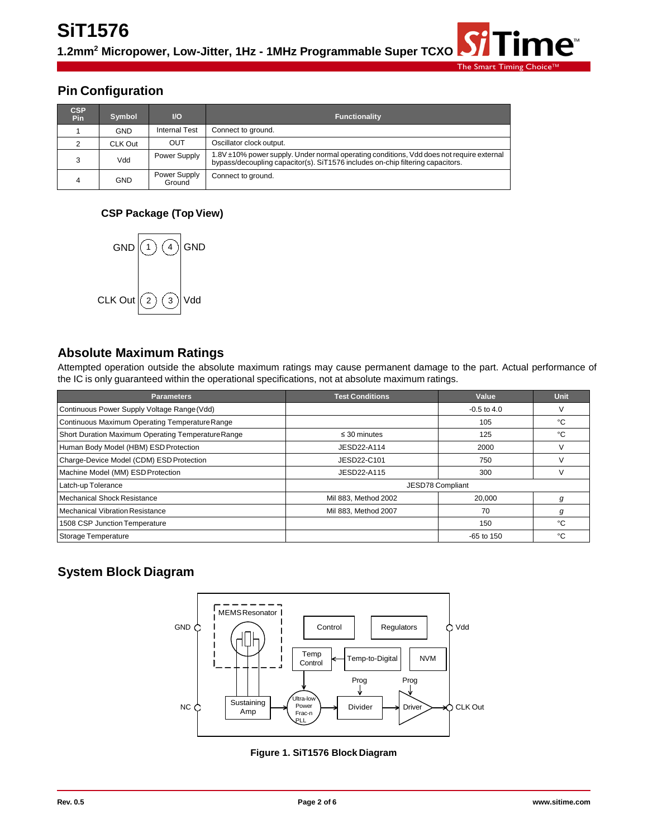# **Pin Configuration**

| <b>CSP</b><br>Pin | Symbol     | $\overline{U}$         | Functionality                                                                                                                                                              |
|-------------------|------------|------------------------|----------------------------------------------------------------------------------------------------------------------------------------------------------------------------|
|                   | <b>GND</b> | <b>Internal Test</b>   | Connect to ground.                                                                                                                                                         |
|                   | CLK Out    | <b>OUT</b>             | Oscillator clock output.                                                                                                                                                   |
| 3                 | Vdd        | Power Supply           | 1.8V ±10% power supply. Under normal operating conditions, Vdd does not require external<br>bypass/decoupling capacitor(s). SiT1576 includes on-chip filtering capacitors. |
| 4                 | GND        | Power Supply<br>Ground | Connect to ground.                                                                                                                                                         |

#### **CSP Package (Top View)**



## **Absolute Maximum Ratings**

Attempted operation outside the absolute maximum ratings may cause permanent damage to the part. Actual performance of the IC is only guaranteed within the operational specifications, not at absolute maximum ratings.

| <b>Parameters</b>                                  | <b>Test Conditions</b> | Value            | Unit |
|----------------------------------------------------|------------------------|------------------|------|
| Continuous Power Supply Voltage Range (Vdd)        |                        | $-0.5$ to 4.0    | ٧    |
| Continuous Maximum Operating Temperature Range     |                        | 105              | ۰c   |
| Short Duration Maximum Operating Temperature Range | $\leq$ 30 minutes      | 125              | °C   |
| Human Body Model (HBM) ESD Protection              | JESD22-A114            | 2000             | V    |
| Charge-Device Model (CDM) ESD Protection           | JESD22-C101            | 750              | V    |
| Machine Model (MM) ESD Protection                  | JESD22-A115            | 300              | V    |
| Latch-up Tolerance                                 |                        | JESD78 Compliant |      |
| <b>Mechanical Shock Resistance</b>                 | Mil 883, Method 2002   | 20,000           | g    |
| <b>Mechanical Vibration Resistance</b>             | Mil 883, Method 2007   | 70               | g    |
| 1508 CSP Junction Temperature                      |                        | 150              | °C   |
| Storage Temperature                                |                        | $-65$ to 150     | °C   |

# **System Block Diagram**



**Figure 1. SiT1576 Block Diagram**

ne<sup>®</sup>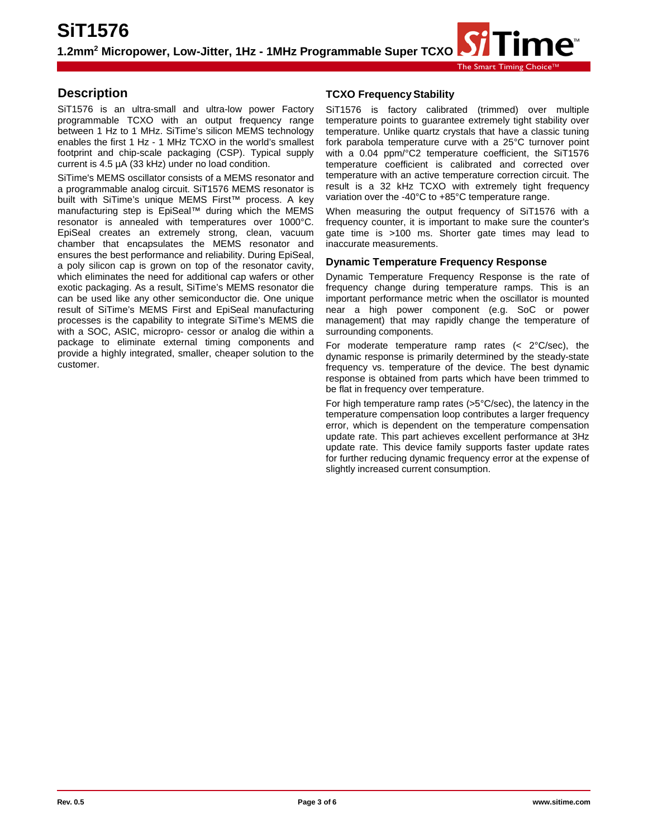# **Description**

SiT1576 is an ultra-small and ultra-low power Factory programmable TCXO with an output frequency range between 1 Hz to 1 MHz. SiTime's silicon MEMS technology enables the first 1 Hz - 1 MHz TCXO in the world's smallest footprint and chip-scale packaging (CSP). Typical supply current is 4.5 µA (33 kHz) under no load condition.

SiTime's MEMS oscillator consists of a MEMS resonator and a programmable analog circuit. SiT1576 MEMS resonator is built with SiTime's unique MEMS First™ process. A key manufacturing step is EpiSeal™ during which the MEMS resonator is annealed with temperatures over 1000°C. EpiSeal creates an extremely strong, clean, vacuum chamber that encapsulates the MEMS resonator and ensures the best performance and reliability. During EpiSeal, a poly silicon cap is grown on top of the resonator cavity, which eliminates the need for additional cap wafers or other exotic packaging. As a result, SiTime's MEMS resonator die can be used like any other semiconductor die. One unique result of SiTime's MEMS First and EpiSeal manufacturing processes is the capability to integrate SiTime's MEMS die with a SOC, ASIC, micropro- cessor or analog die within a package to eliminate external timing components and provide a highly integrated, smaller, cheaper solution to the customer.

#### **TCXO FrequencyStability**

SiT1576 is factory calibrated (trimmed) over multiple temperature points to guarantee extremely tight stability over temperature. Unlike quartz crystals that have a classic tuning fork parabola temperature curve with a 25°C turnover point with a 0.04 ppm/°C2 temperature coefficient, the SiT1576 temperature coefficient is calibrated and corrected over temperature with an active temperature correction circuit. The result is a 32 kHz TCXO with extremely tight frequency variation over the -40°C to +85°C temperature range.

When measuring the output frequency of SiT1576 with a frequency counter, it is important to make sure the counter's gate time is >100 ms. Shorter gate times may lead to inaccurate measurements.

#### **Dynamic Temperature Frequency Response**

Dynamic Temperature Frequency Response is the rate of frequency change during temperature ramps. This is an important performance metric when the oscillator is mounted near a high power component (e.g. SoC or power management) that may rapidly change the temperature of surrounding components.

For moderate temperature ramp rates  $( $2^{\circ}$ C/sec)$ , the dynamic response is primarily determined by the steady-state frequency vs. temperature of the device. The best dynamic response is obtained from parts which have been trimmed to be flat in frequency over temperature.

For high temperature ramp rates (>5°C/sec), the latency in the temperature compensation loop contributes a larger frequency error, which is dependent on the temperature compensation update rate. This part achieves excellent performance at 3Hz update rate. This device family supports faster update rates for further reducing dynamic frequency error at the expense of slightly increased current consumption.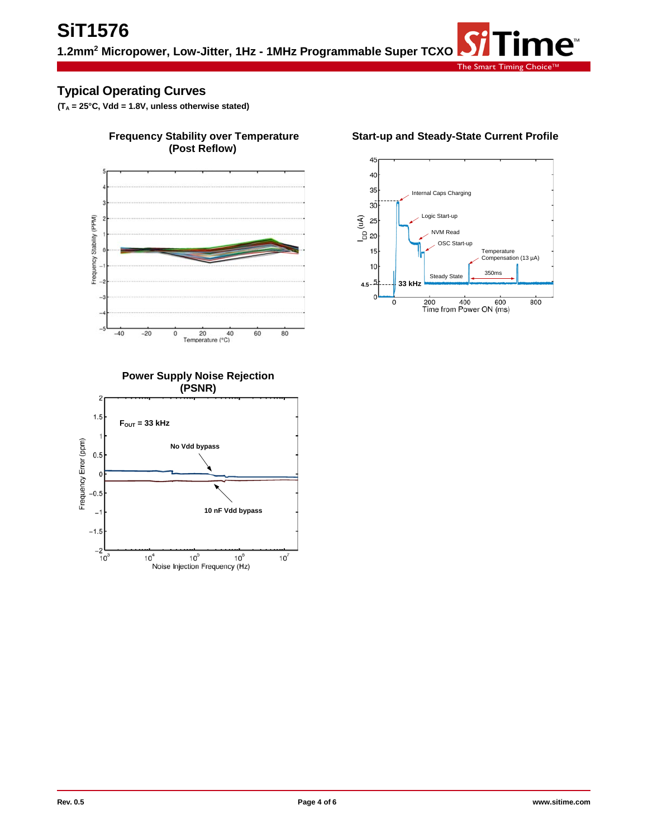# **Typical Operating Curves**

**(TA = 25°C, Vdd = 1.8V, unless otherwise stated)**



# **Frequency Stability over Temperature (Post Reflow)**



### **Start-up and Steady-State Current Profile**



**No Vdd bypass**

 $10<sup>5</sup>$ 

Noise Injection Frequency (Hz)

 $\mathbf{1}$ 

 $0.5$  $\mathbf 0$  $-0.5$  $\overline{a}$  $-1.5$ 

 $-2$   $-2$ <br> $10^3$ 

 $10<sup>4</sup>$ 

Frequency Error (ppm)

**10 nF Vdd bypass**

 $10^6$ 

 $10^7$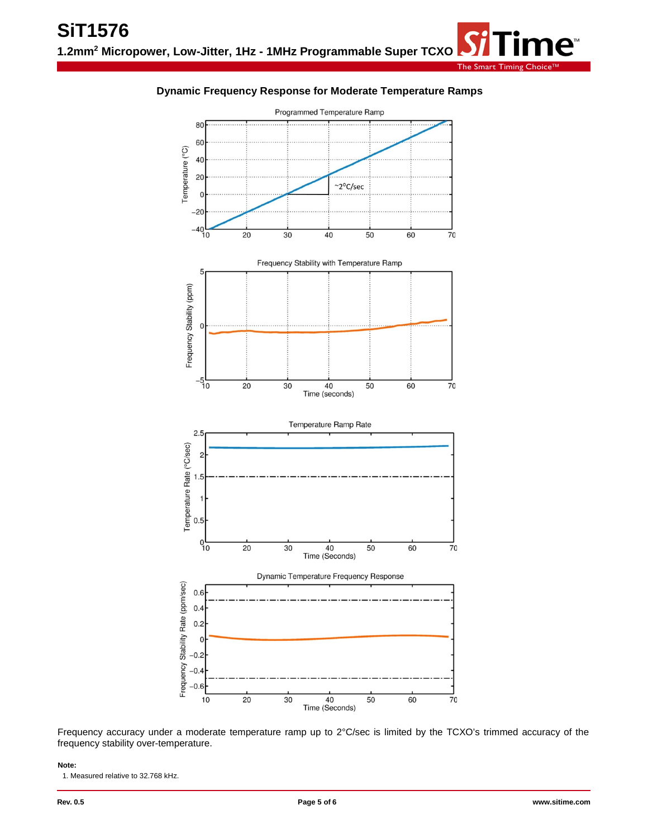#### **Dynamic Frequency Response for Moderate Temperature Ramps**



Frequency accuracy under a moderate temperature ramp up to 2°C/sec is limited by the TCXO's trimmed accuracy of the frequency stability over-temperature.

**Note:**

1. Measured relative to 32.768 kHz.

 $\mathbf{e}$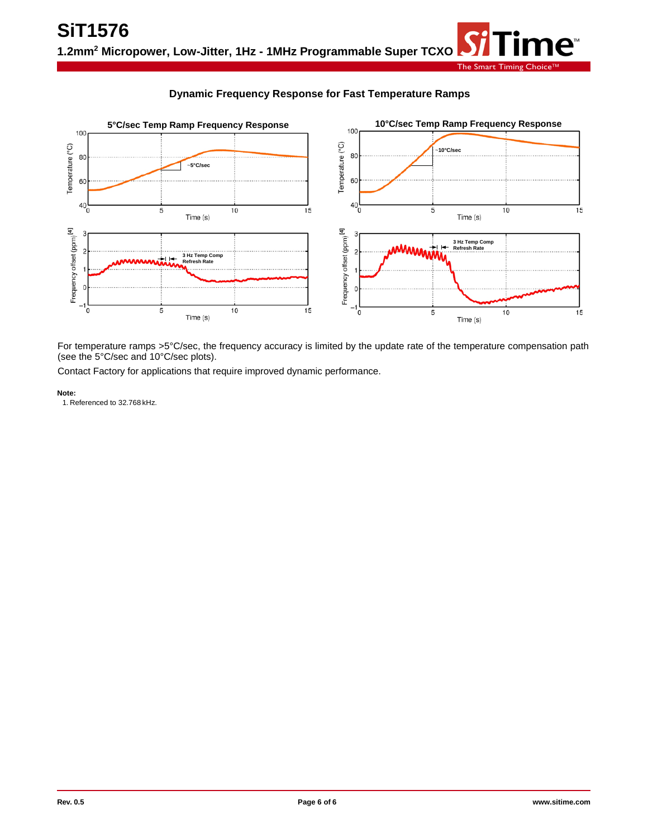### **Dynamic Frequency Response for Fast Temperature Ramps**



For temperature ramps >5°C/sec, the frequency accuracy is limited by the update rate of the temperature compensation path (see the 5°C/sec and 10°C/sec plots).

Contact Factory for applications that require improved dynamic performance.

**Note:**

1. Referenced to 32.768 kHz.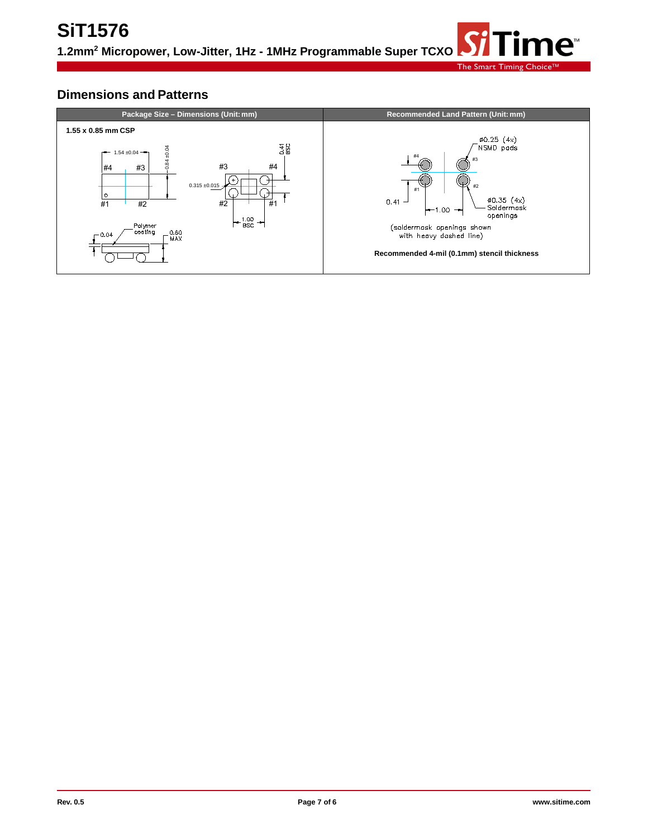# **Dimensions and Patterns**

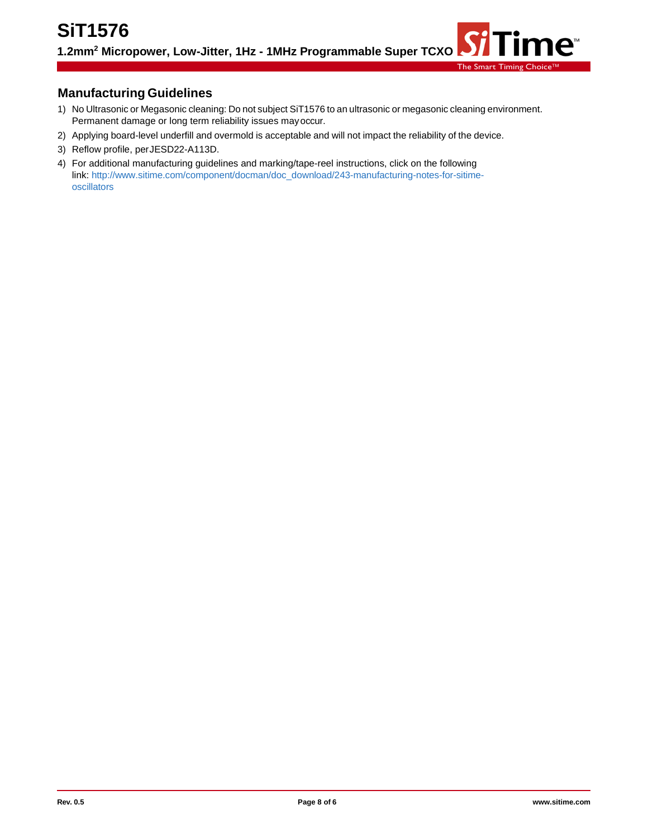# **Manufacturing Guidelines**

- 1) No Ultrasonic or Megasonic cleaning: Do not subject SiT1576 to an ultrasonic or megasonic cleaning environment. Permanent damage or long term reliability issues mayoccur.
- 2) Applying board-level underfill and overmold is acceptable and will not impact the reliability of the device.
- 3) Reflow profile, perJESD22-A113D.
- 4) For additional manufacturing guidelines and marking/tape-reel instructions, click on the following link[: http://www.sitime.com/component/docman/doc\\_download/243-manufacturing-notes-for-sitime](http://www.sitime.com/component/docman/doc_download/243-manufacturing-notes-for-sitime-oscillators)[oscillators](http://www.sitime.com/component/docman/doc_download/243-manufacturing-notes-for-sitime-oscillators)

 $\mathbf{n}\mathbf{e}$